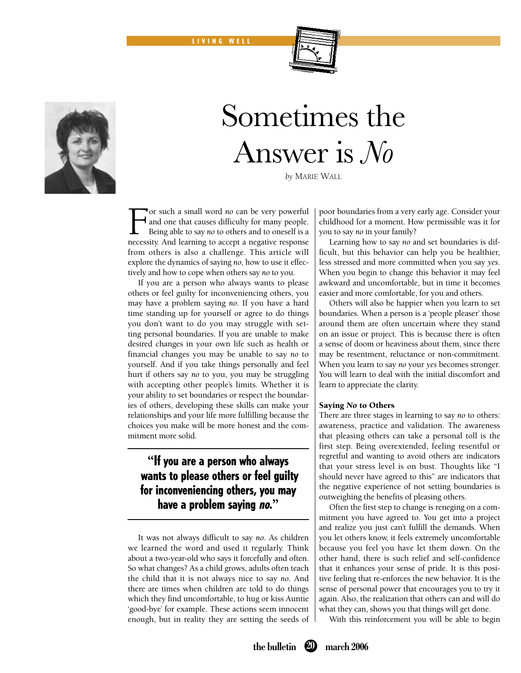LIVING WELL



# Sometimes the Answer is *No*

*by* MARIE WALL

For such a small word *no* can be very powerful and one that causes difficulty for many people. Being able to say *no* to others and to oneself is a necessity. And learning to accept a negative response from others is also a challenge. This article will explore the dynamics of saying *no*, how to use it effectively and how to cope when others say *no* to you.

 If you are a person who always wants to please others or feel guilty for inconveniencing others, you may have a problem saying *no*. If you have a hard time standing up for yourself or agree to do things you don't want to do you may struggle with setting personal boundaries. If you are unable to make desired changes in your own life such as health or financial changes you may be unable to say *no* to yourself. And if you take things personally and feel hurt if others say *no* to you, you may be struggling with accepting other people's limits. Whether it is your ability to set boundaries or respect the boundaries of others, developing these skills can make your relationships and your life more fulfilling because the choices you make will be more honest and the commitment more solid.

# **"**If you are a person who always wants to please others or feel guilty for inconveniencing others, you may have a problem saying no.**"**

 It was not always difficult to say *no*. As children we learned the word and used it regularly. Think about a two-year-old who says it forcefully and often. So what changes? As a child grows, adults often teach the child that it is not always nice to say *no*. And there are times when children are told to do things which they find uncomfortable, to hug or kiss Auntie 'good-bye' for example. These actions seem innocent enough, but in reality they are setting the seeds of poor boundaries from a very early age. Consider your childhood for a moment. How permissible was it for you to say *no* in your family?

 Learning how to say *no* and set boundaries is difficult, but this behavior can help you be healthier, less stressed and more committed when you say *yes*. When you begin to change this behavior it may feel awkward and uncomfortable, but in time it becomes easier and more comfortable, for you and others.

 Others will also be happier when you learn to set boundaries. When a person is a 'people pleaser' those around them are often uncertain where they stand on an issue or project. This is because there is often a sense of doom or heaviness about them, since there may be resentment, reluctance or non-commitment. When you learn to say *no* your *yes* becomes stronger. You will learn to deal with the initial discomfort and learn to appreciate the clarity.

## Saying *No* to Others

There are three stages in learning to say *no* to others: awareness, practice and validation. The awareness that pleasing others can take a personal toll is the first step. Being overextended, feeling resentful or regretful and wanting to avoid others are indicators that your stress level is on bust. Thoughts like "I should never have agreed to this" are indicators that the negative experience of not setting boundaries is outweighing the benefits of pleasing others.

Often the first step to change is reneging on a commitment you have agreed to. You get into a project and realize you just can't fulfill the demands. When you let others know, it feels extremely uncomfortable because you feel you have let them down. On the other hand, there is such relief and self-confidence that it enhances your sense of pride. It is this positive feeling that re-enforces the new behavior. It is the sense of personal power that encourages you to try it again. Also, the realization that others can and will do what they can, shows you that things will get done.

With this reinforcement you will be able to begin